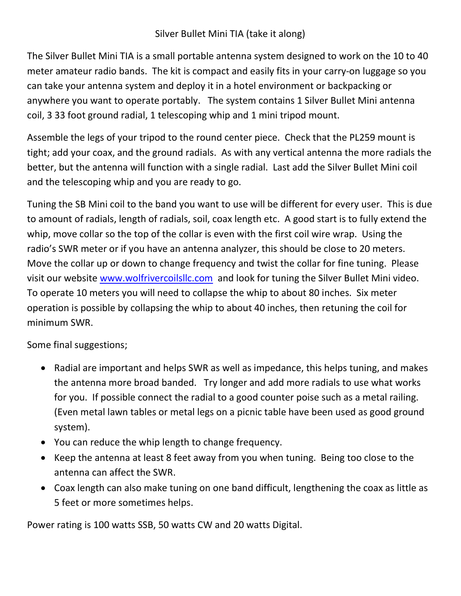## Silver Bullet Mini TIA (take it along)

The Silver Bullet Mini TIA is a small portable antenna system designed to work on the 10 to 40 meter amateur radio bands. The kit is compact and easily fits in your carry-on luggage so you can take your antenna system and deploy it in a hotel environment or backpacking or anywhere you want to operate portably. The system contains 1 Silver Bullet Mini antenna coil, 3 33 foot ground radial, 1 telescoping whip and 1 mini tripod mount.

Assemble the legs of your tripod to the round center piece. Check that the PL259 mount is tight; add your coax, and the ground radials. As with any vertical antenna the more radials the better, but the antenna will function with a single radial. Last add the Silver Bullet Mini coil and the telescoping whip and you are ready to go.

Tuning the SB Mini coil to the band you want to use will be different for every user. This is due to amount of radials, length of radials, soil, coax length etc. A good start is to fully extend the whip, move collar so the top of the collar is even with the first coil wire wrap. Using the radio's SWR meter or if you have an antenna analyzer, this should be close to 20 meters. Move the collar up or down to change frequency and twist the collar for fine tuning. Please visit our website www.wolfrivercoilsllc.com and look for tuning the Silver Bullet Mini video. To operate 10 meters you will need to collapse the whip to about 80 inches. Six meter operation is possible by collapsing the whip to about 40 inches, then retuning the coil for minimum SWR.

Some final suggestions;

- Radial are important and helps SWR as well as impedance, this helps tuning, and makes the antenna more broad banded. Try longer and add more radials to use what works for you. If possible connect the radial to a good counter poise such as a metal railing. (Even metal lawn tables or metal legs on a picnic table have been used as good ground system).
- You can reduce the whip length to change frequency.
- Keep the antenna at least 8 feet away from you when tuning. Being too close to the antenna can affect the SWR.
- Coax length can also make tuning on one band difficult, lengthening the coax as little as 5 feet or more sometimes helps.

Power rating is 100 watts SSB, 50 watts CW and 20 watts Digital.